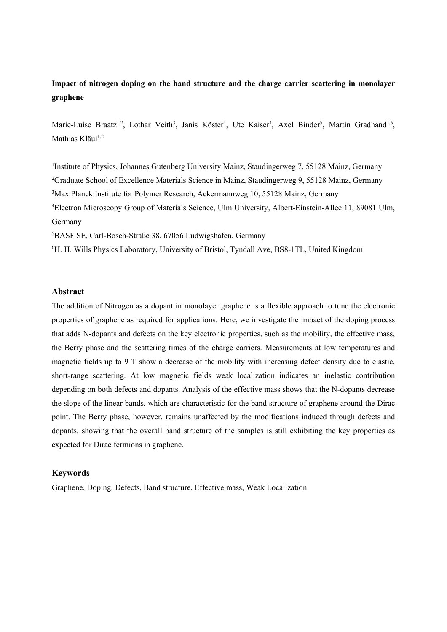# **Impact of nitrogen doping on the band structure and the charge carrier scattering in monolayer graphene**

Marie-Luise Braatz<sup>1,2</sup>, Lothar Veith<sup>3</sup>, Janis Köster<sup>4</sup>, Ute Kaiser<sup>4</sup>, Axel Binder<sup>5</sup>, Martin Gradhand<sup>1,6</sup>, Mathias Kläui<sup>1,2</sup>

<sup>1</sup>Institute of Physics, Johannes Gutenberg University Mainz, Staudingerweg 7, 55128 Mainz, Germany <sup>2</sup>Graduate School of Excellence Materials Science in Mainz, Staudingerweg 9, 55128 Mainz, Germany <sup>3</sup>Max Planck Institute for Polymer Research, Ackermannweg 10, 55128 Mainz, Germany <sup>4</sup>Electron Microscopy Group of Materials Science, Ulm University, Albert-Einstein-Allee 11, 89081 Ulm, Germany 5 BASF SE, Carl‐Bosch‐Straße 38, 67056 Ludwigshafen, Germany

6 H. H. Wills Physics Laboratory, University of Bristol, Tyndall Ave, BS8-1TL, United Kingdom

# **Abstract**

The addition of Nitrogen as a dopant in monolayer graphene is a flexible approach to tune the electronic properties of graphene as required for applications. Here, we investigate the impact of the doping process that adds N-dopants and defects on the key electronic properties, such as the mobility, the effective mass, the Berry phase and the scattering times of the charge carriers. Measurements at low temperatures and magnetic fields up to 9 T show a decrease of the mobility with increasing defect density due to elastic, short-range scattering. At low magnetic fields weak localization indicates an inelastic contribution depending on both defects and dopants. Analysis of the effective mass shows that the N-dopants decrease the slope of the linear bands, which are characteristic for the band structure of graphene around the Dirac point. The Berry phase, however, remains unaffected by the modifications induced through defects and dopants, showing that the overall band structure of the samples is still exhibiting the key properties as expected for Dirac fermions in graphene.

# **Keywords**

Graphene, Doping, Defects, Band structure, Effective mass, Weak Localization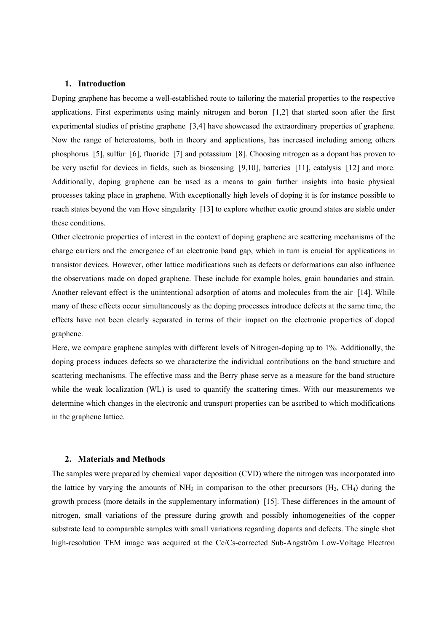#### **1. Introduction**

Doping graphene has become a well-established route to tailoring the material properties to the respective applications. First experiments using mainly nitrogen and boron [1,2] that started soon after the first experimental studies of pristine graphene [3,4] have showcased the extraordinary properties of graphene. Now the range of heteroatoms, both in theory and applications, has increased including among others phosphorus [5], sulfur [6], fluoride [7] and potassium [8]. Choosing nitrogen as a dopant has proven to be very useful for devices in fields, such as biosensing [9,10], batteries [11], catalysis [12] and more. Additionally, doping graphene can be used as a means to gain further insights into basic physical processes taking place in graphene. With exceptionally high levels of doping it is for instance possible to reach states beyond the van Hove singularity [13] to explore whether exotic ground states are stable under these conditions.

Other electronic properties of interest in the context of doping graphene are scattering mechanisms of the charge carriers and the emergence of an electronic band gap, which in turn is crucial for applications in transistor devices. However, other lattice modifications such as defects or deformations can also influence the observations made on doped graphene. These include for example holes, grain boundaries and strain. Another relevant effect is the unintentional adsorption of atoms and molecules from the air [14]. While many of these effects occur simultaneously as the doping processes introduce defects at the same time, the effects have not been clearly separated in terms of their impact on the electronic properties of doped graphene.

Here, we compare graphene samples with different levels of Nitrogen-doping up to 1%. Additionally, the doping process induces defects so we characterize the individual contributions on the band structure and scattering mechanisms. The effective mass and the Berry phase serve as a measure for the band structure while the weak localization (WL) is used to quantify the scattering times. With our measurements we determine which changes in the electronic and transport properties can be ascribed to which modifications in the graphene lattice.

#### **2. Materials and Methods**

The samples were prepared by chemical vapor deposition (CVD) where the nitrogen was incorporated into the lattice by varying the amounts of  $NH_3$  in comparison to the other precursors  $(H_2, CH_4)$  during the growth process (more details in the supplementary information) [15]. These differences in the amount of nitrogen, small variations of the pressure during growth and possibly inhomogeneities of the copper substrate lead to comparable samples with small variations regarding dopants and defects. The single shot high-resolution TEM image was acquired at the Cc/Cs-corrected Sub-Angström Low-Voltage Electron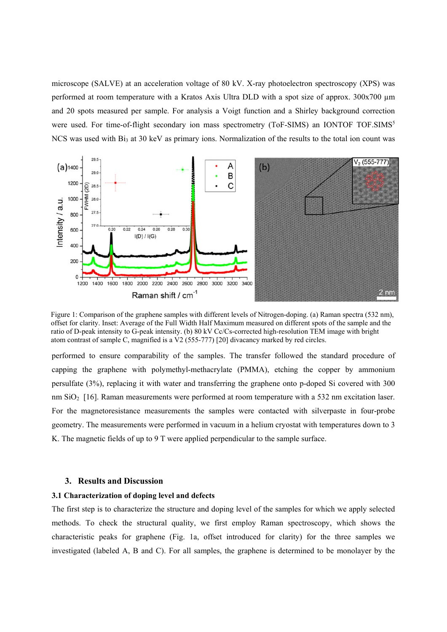microscope (SALVE) at an acceleration voltage of 80 kV. X-ray photoelectron spectroscopy (XPS) was performed at room temperature with a Kratos Axis Ultra DLD with a spot size of approx. 300x700 um and 20 spots measured per sample. For analysis a Voigt function and a Shirley background correction were used. For time-of-flight secondary ion mass spectrometry (ToF-SIMS) an IONTOF TOF.SIMS<sup>5</sup> NCS was used with  $Bi<sub>3</sub>$  at 30 keV as primary ions. Normalization of the results to the total ion count was



Figure 1: Comparison of the graphene samples with different levels of Nitrogen-doping. (a) Raman spectra (532 nm), offset for clarity. Inset: Average of the Full Width Half Maximum measured on different spots of the sample and the ratio of D-peak intensity to G-peak intensity. (b) 80 kV Cc/Cs-corrected high-resolution TEM image with bright atom contrast of sample C, magnified is a V2 (555-777) [20] divacancy marked by red circles.

performed to ensure comparability of the samples. The transfer followed the standard procedure of capping the graphene with polymethyl-methacrylate (PMMA), etching the copper by ammonium persulfate (3%), replacing it with water and transferring the graphene onto p-doped Si covered with 300 nm SiO2 [16]. Raman measurements were performed at room temperature with a 532 nm excitation laser. For the magnetoresistance measurements the samples were contacted with silverpaste in four-probe geometry. The measurements were performed in vacuum in a helium cryostat with temperatures down to 3 K. The magnetic fields of up to 9 T were applied perpendicular to the sample surface.

# **3. Results and Discussion**

#### **3.1 Characterization of doping level and defects**

The first step is to characterize the structure and doping level of the samples for which we apply selected methods. To check the structural quality, we first employ Raman spectroscopy, which shows the characteristic peaks for graphene (Fig. 1a, offset introduced for clarity) for the three samples we investigated (labeled A, B and C). For all samples, the graphene is determined to be monolayer by the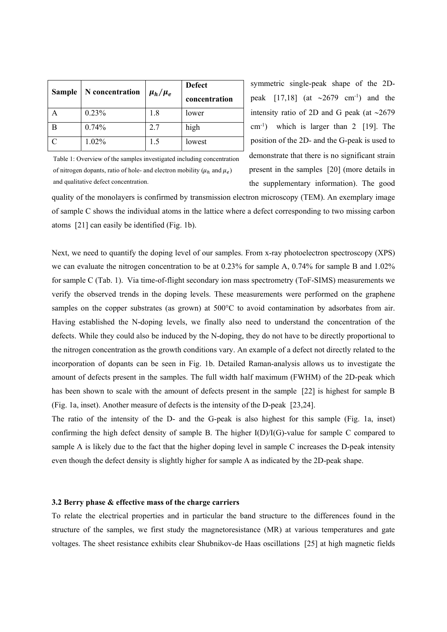| <b>Sample</b> | N concentration | $\mu_h/\mu_e$ | <b>Defect</b> |
|---------------|-----------------|---------------|---------------|
|               |                 |               | concentration |
|               | 0.23%           | 1.8           | lower         |
|               | 0.74%           | 2.7           | high          |
|               | 1.02%           | 1.5           | lowest        |

Table 1: Overview of the samples investigated including concentration of nitrogen dopants, ratio of hole- and electron mobility ( $\mu_h$  and  $\mu_e$ ) and qualitative defect concentration.

symmetric single-peak shape of the 2Dpeak  $[17,18]$  (at  $\sim 2679$  cm<sup>-1</sup>) and the intensity ratio of 2D and G peak (at  $\sim$ 2679  $cm^{-1}$ ) which is larger than 2 [19]. The position of the 2D- and the G-peak is used to demonstrate that there is no significant strain present in the samples [20] (more details in the supplementary information). The good

quality of the monolayers is confirmed by transmission electron microscopy (TEM). An exemplary image of sample C shows the individual atoms in the lattice where a defect corresponding to two missing carbon atoms [21] can easily be identified (Fig. 1b).

Next, we need to quantify the doping level of our samples. From x-ray photoelectron spectroscopy (XPS) we can evaluate the nitrogen concentration to be at 0.23% for sample A, 0.74% for sample B and 1.02% for sample C (Tab. 1). Via time-of-flight secondary ion mass spectrometry (ToF-SIMS) measurements we verify the observed trends in the doping levels. These measurements were performed on the graphene samples on the copper substrates (as grown) at 500°C to avoid contamination by adsorbates from air. Having established the N-doping levels, we finally also need to understand the concentration of the defects. While they could also be induced by the N-doping, they do not have to be directly proportional to the nitrogen concentration as the growth conditions vary. An example of a defect not directly related to the incorporation of dopants can be seen in Fig. 1b. Detailed Raman-analysis allows us to investigate the amount of defects present in the samples. The full width half maximum (FWHM) of the 2D-peak which has been shown to scale with the amount of defects present in the sample [22] is highest for sample B (Fig. 1a, inset). Another measure of defects is the intensity of the D-peak [23,24].

The ratio of the intensity of the D- and the G-peak is also highest for this sample (Fig. 1a, inset) confirming the high defect density of sample B. The higher  $I(D)/I(G)$ -value for sample C compared to sample A is likely due to the fact that the higher doping level in sample C increases the D-peak intensity even though the defect density is slightly higher for sample A as indicated by the 2D-peak shape.

## **3.2 Berry phase & effective mass of the charge carriers**

To relate the electrical properties and in particular the band structure to the differences found in the structure of the samples, we first study the magnetoresistance (MR) at various temperatures and gate voltages. The sheet resistance exhibits clear Shubnikov-de Haas oscillations [25] at high magnetic fields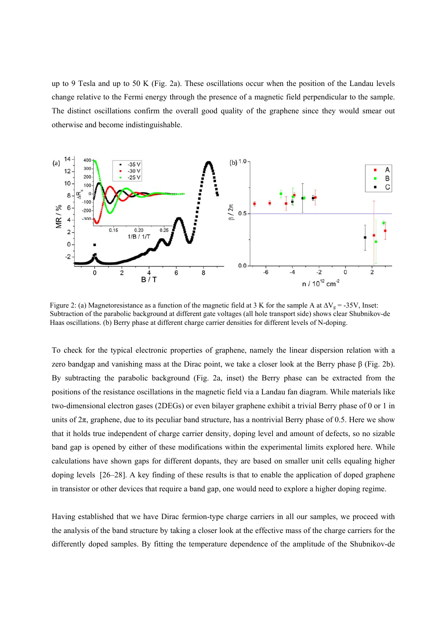up to 9 Tesla and up to 50 K (Fig. 2a). These oscillations occur when the position of the Landau levels change relative to the Fermi energy through the presence of a magnetic field perpendicular to the sample. The distinct oscillations confirm the overall good quality of the graphene since they would smear out otherwise and become indistinguishable.



Figure 2: (a) Magnetoresistance as a function of the magnetic field at 3 K for the sample A at  $\Delta V_g = -35V$ , Inset: Subtraction of the parabolic background at different gate voltages (all hole transport side) shows clear Shubnikov-de Haas oscillations. (b) Berry phase at different charge carrier densities for different levels of N-doping.

To check for the typical electronic properties of graphene, namely the linear dispersion relation with a zero bandgap and vanishing mass at the Dirac point, we take a closer look at the Berry phase  $\beta$  (Fig. 2b). By subtracting the parabolic background (Fig. 2a, inset) the Berry phase can be extracted from the positions of the resistance oscillations in the magnetic field via a Landau fan diagram. While materials like two-dimensional electron gases (2DEGs) or even bilayer graphene exhibit a trivial Berry phase of 0 or 1 in units of  $2\pi$ , graphene, due to its peculiar band structure, has a nontrivial Berry phase of 0.5. Here we show that it holds true independent of charge carrier density, doping level and amount of defects, so no sizable band gap is opened by either of these modifications within the experimental limits explored here. While calculations have shown gaps for different dopants, they are based on smaller unit cells equaling higher doping levels [26–28]. A key finding of these results is that to enable the application of doped graphene in transistor or other devices that require a band gap, one would need to explore a higher doping regime.

Having established that we have Dirac fermion-type charge carriers in all our samples, we proceed with the analysis of the band structure by taking a closer look at the effective mass of the charge carriers for the differently doped samples. By fitting the temperature dependence of the amplitude of the Shubnikov-de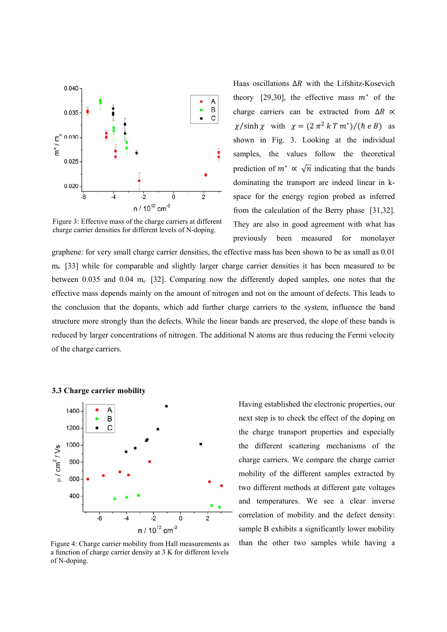

Figure 3: Effective mass of the charge carriers at different charge carrier densities for different levels of N-doping.

Haas oscillations  $\Delta R$  with the Lifshitz-Kosevich theory [29,30], the effective mass  $m^*$  of the charge carriers can be extracted from  $\Delta R \propto$  $\chi$ /sinh  $\chi$  with  $\chi = (2 \pi^2 k T m^*)/( \hbar e B)$  as shown in Fig. 3. Looking at the individual samples, the values follow the theoretical prediction of  $m^* \propto \sqrt{n}$  indicating that the bands dominating the transport are indeed linear in kspace for the energy region probed as inferred from the calculation of the Berry phase [31,32]. They are also in good agreement with what has previously been measured for monolayer

graphene: for very small charge carrier densities, the effective mass has been shown to be as small as 0.01 me [33] while for comparable and slightly larger charge carrier densities it has been measured to be between 0.035 and 0.04 me [32]. Comparing now the differently doped samples, one notes that the effective mass depends mainly on the amount of nitrogen and not on the amount of defects. This leads to the conclusion that the dopants, which add further charge carriers to the system, influence the band structure more strongly than the defects. While the linear bands are preserved, the slope of these bands is reduced by larger concentrations of nitrogen. The additional N atoms are thus reducing the Fermi velocity of the charge carriers.



**3.3 Charge carrier mobility** 

Figure 4: Charge carrier mobility from Hall measurements as a function of charge carrier density at 3 K for different levels of N-doping.

Having established the electronic properties, our next step is to check the effect of the doping on the charge transport properties and especially the different scattering mechanisms of the charge carriers. We compare the charge carrier mobility of the different samples extracted by two different methods at different gate voltages and temperatures. We see a clear inverse correlation of mobility and the defect density: sample B exhibits a significantly lower mobility than the other two samples while having a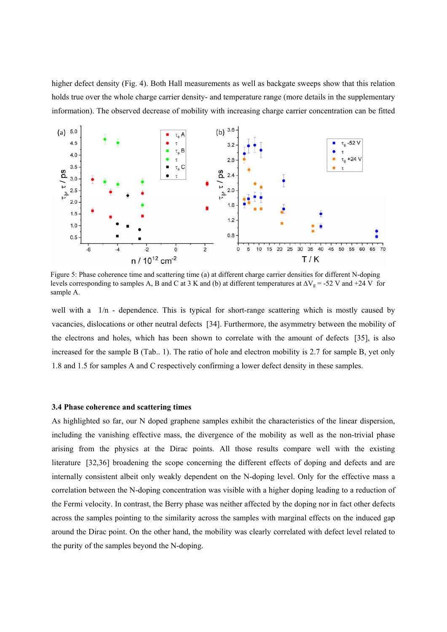higher defect density (Fig. 4). Both Hall measurements as well as backgate sweeps show that this relation holds true over the whole charge carrier density- and temperature range (more details in the supplementary information). The observed decrease of mobility with increasing charge carrier concentration can be fitted



Figure 5: Phase coherence time and scattering time (a) at different charge carrier densities for different N-doping levels corresponding to samples A, B and C at 3 K and (b) at different temperatures at  $\Delta V_g = -52$  V and +24 V for sample A.

well with a  $1/n$  - dependence. This is typical for short-range scattering which is mostly caused by vacancies, dislocations or other neutral defects [34]. Furthermore, the asymmetry between the mobility of the electrons and holes, which has been shown to correlate with the amount of defects [35], is also increased for the sample B (Tab.. 1). The ratio of hole and electron mobility is 2.7 for sample B, yet only 1.8 and 1.5 for samples A and C respectively confirming a lower defect density in these samples.

### **3.4 Phase coherence and scattering times**

As highlighted so far, our N doped graphene samples exhibit the characteristics of the linear dispersion, including the vanishing effective mass, the divergence of the mobility as well as the non-trivial phase arising from the physics at the Dirac points. All those results compare well with the existing literature [32,36] broadening the scope concerning the different effects of doping and defects and are internally consistent albeit only weakly dependent on the N-doping level. Only for the effective mass a correlation between the N-doping concentration was visible with a higher doping leading to a reduction of the Fermi velocity. In contrast, the Berry phase was neither affected by the doping nor in fact other defects across the samples pointing to the similarity across the samples with marginal effects on the induced gap around the Dirac point. On the other hand, the mobility was clearly correlated with defect level related to the purity of the samples beyond the N-doping.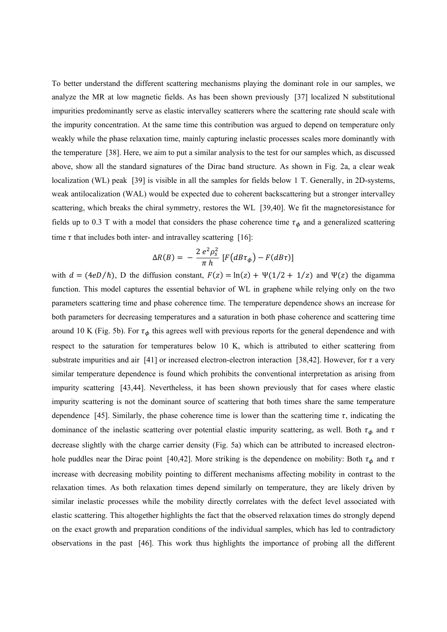To better understand the different scattering mechanisms playing the dominant role in our samples, we analyze the MR at low magnetic fields. As has been shown previously [37] localized N substitutional impurities predominantly serve as elastic intervalley scatterers where the scattering rate should scale with the impurity concentration. At the same time this contribution was argued to depend on temperature only weakly while the phase relaxation time, mainly capturing inelastic processes scales more dominantly with the temperature [38]. Here, we aim to put a similar analysis to the test for our samples which, as discussed above, show all the standard signatures of the Dirac band structure. As shown in Fig. 2a, a clear weak localization (WL) peak [39] is visible in all the samples for fields below 1 T. Generally, in 2D-systems, weak antilocalization (WAL) would be expected due to coherent backscattering but a stronger intervalley scattering, which breaks the chiral symmetry, restores the WL [39,40]. We fit the magnetoresistance for fields up to 0.3 T with a model that considers the phase coherence time  $\tau_{\phi}$  and a generalized scattering time  $\tau$  that includes both inter- and intravalley scattering [16]:

$$
\Delta R(B) = -\frac{2 e^2 \rho_s^2}{\pi h} \left[ F\left( dB \tau_\phi \right) - F\left( dB \tau \right) \right]
$$

with  $d = (4eD/\hbar)$ , D the diffusion constant,  $F(z) = \ln(z) + \Psi(1/2 + 1/z)$  and  $\Psi(z)$  the digamma function. This model captures the essential behavior of WL in graphene while relying only on the two parameters scattering time and phase coherence time. The temperature dependence shows an increase for both parameters for decreasing temperatures and a saturation in both phase coherence and scattering time around 10 K (Fig. 5b). For  $\tau_{\phi}$  this agrees well with previous reports for the general dependence and with respect to the saturation for temperatures below 10 K, which is attributed to either scattering from substrate impurities and air [41] or increased electron-electron interaction [38,42]. However, for  $\tau$  a very similar temperature dependence is found which prohibits the conventional interpretation as arising from impurity scattering [43,44]. Nevertheless, it has been shown previously that for cases where elastic impurity scattering is not the dominant source of scattering that both times share the same temperature dependence [45]. Similarly, the phase coherence time is lower than the scattering time  $\tau$ , indicating the dominance of the inelastic scattering over potential elastic impurity scattering, as well. Both  $\tau_{\phi}$  and  $\tau$ decrease slightly with the charge carrier density (Fig. 5a) which can be attributed to increased electronhole puddles near the Dirac point [40,42]. More striking is the dependence on mobility: Both  $\tau_{\phi}$  and  $\tau$ increase with decreasing mobility pointing to different mechanisms affecting mobility in contrast to the relaxation times. As both relaxation times depend similarly on temperature, they are likely driven by similar inelastic processes while the mobility directly correlates with the defect level associated with elastic scattering. This altogether highlights the fact that the observed relaxation times do strongly depend on the exact growth and preparation conditions of the individual samples, which has led to contradictory observations in the past [46]. This work thus highlights the importance of probing all the different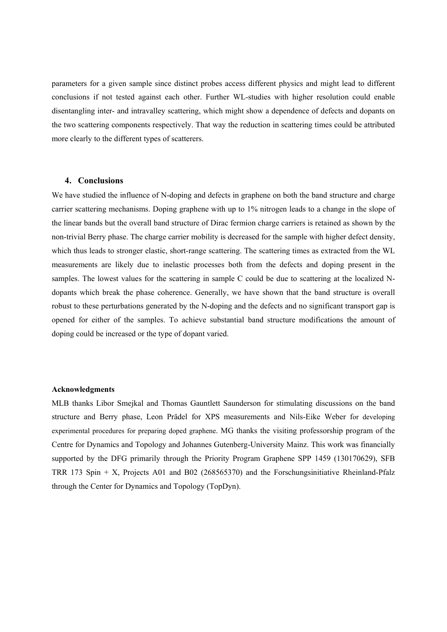parameters for a given sample since distinct probes access different physics and might lead to different conclusions if not tested against each other. Further WL-studies with higher resolution could enable disentangling inter- and intravalley scattering, which might show a dependence of defects and dopants on the two scattering components respectively. That way the reduction in scattering times could be attributed more clearly to the different types of scatterers.

## **4. Conclusions**

We have studied the influence of N-doping and defects in graphene on both the band structure and charge carrier scattering mechanisms. Doping graphene with up to 1% nitrogen leads to a change in the slope of the linear bands but the overall band structure of Dirac fermion charge carriers is retained as shown by the non-trivial Berry phase. The charge carrier mobility is decreased for the sample with higher defect density, which thus leads to stronger elastic, short-range scattering. The scattering times as extracted from the WL measurements are likely due to inelastic processes both from the defects and doping present in the samples. The lowest values for the scattering in sample C could be due to scattering at the localized Ndopants which break the phase coherence. Generally, we have shown that the band structure is overall robust to these perturbations generated by the N-doping and the defects and no significant transport gap is opened for either of the samples. To achieve substantial band structure modifications the amount of doping could be increased or the type of dopant varied.

### **Acknowledgments**

MLB thanks Libor Smejkal and Thomas Gauntlett Saunderson for stimulating discussions on the band structure and Berry phase, Leon Prädel for XPS measurements and Nils-Eike Weber for developing experimental procedures for preparing doped graphene. MG thanks the visiting professorship program of the Centre for Dynamics and Topology and Johannes Gutenberg-University Mainz. This work was financially supported by the DFG primarily through the Priority Program Graphene SPP 1459 (130170629), SFB TRR 173 Spin + X, Projects A01 and B02 (268565370) and the Forschungsinitiative Rheinland-Pfalz through the Center for Dynamics and Topology (TopDyn).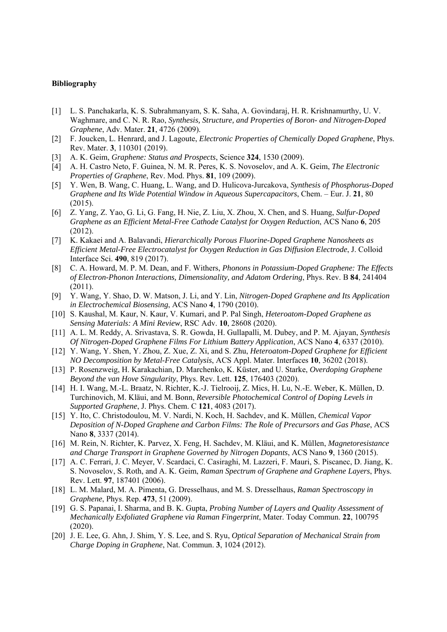#### **Bibliography**

- [1] L. S. Panchakarla, K. S. Subrahmanyam, S. K. Saha, A. Govindaraj, H. R. Krishnamurthy, U. V. Waghmare, and C. N. R. Rao, *Synthesis, Structure, and Properties of Boron- and Nitrogen-Doped Graphene*, Adv. Mater. **21**, 4726 (2009).
- [2] F. Joucken, L. Henrard, and J. Lagoute, *Electronic Properties of Chemically Doped Graphene*, Phys. Rev. Mater. **3**, 110301 (2019).
- [3] A. K. Geim, *Graphene: Status and Prospects*, Science **324**, 1530 (2009).
- [4] A. H. Castro Neto, F. Guinea, N. M. R. Peres, K. S. Novoselov, and A. K. Geim, *The Electronic Properties of Graphene*, Rev. Mod. Phys. **81**, 109 (2009).
- [5] Y. Wen, B. Wang, C. Huang, L. Wang, and D. Hulicova‐Jurcakova, *Synthesis of Phosphorus-Doped Graphene and Its Wide Potential Window in Aqueous Supercapacitors*, Chem. – Eur. J. **21**, 80 (2015).
- [6] Z. Yang, Z. Yao, G. Li, G. Fang, H. Nie, Z. Liu, X. Zhou, X. Chen, and S. Huang, *Sulfur-Doped Graphene as an Efficient Metal-Free Cathode Catalyst for Oxygen Reduction*, ACS Nano **6**, 205 (2012).
- [7] K. Kakaei and A. Balavandi, *Hierarchically Porous Fluorine-Doped Graphene Nanosheets as Efficient Metal-Free Electrocatalyst for Oxygen Reduction in Gas Diffusion Electrode*, J. Colloid Interface Sci. **490**, 819 (2017).
- [8] C. A. Howard, M. P. M. Dean, and F. Withers, *Phonons in Potassium-Doped Graphene: The Effects of Electron-Phonon Interactions, Dimensionality, and Adatom Ordering*, Phys. Rev. B **84**, 241404 (2011).
- [9] Y. Wang, Y. Shao, D. W. Matson, J. Li, and Y. Lin, *Nitrogen-Doped Graphene and Its Application in Electrochemical Biosensing*, ACS Nano **4**, 1790 (2010).
- [10] S. Kaushal, M. Kaur, N. Kaur, V. Kumari, and P. Pal Singh, *Heteroatom-Doped Graphene as Sensing Materials: A Mini Review*, RSC Adv. **10**, 28608 (2020).
- [11] A. L. M. Reddy, A. Srivastava, S. R. Gowda, H. Gullapalli, M. Dubey, and P. M. Ajayan, *Synthesis Of Nitrogen-Doped Graphene Films For Lithium Battery Application*, ACS Nano **4**, 6337 (2010).
- [12] Y. Wang, Y. Shen, Y. Zhou, Z. Xue, Z. Xi, and S. Zhu, *Heteroatom-Doped Graphene for Efficient NO Decomposition by Metal-Free Catalysis*, ACS Appl. Mater. Interfaces **10**, 36202 (2018).
- [13] P. Rosenzweig, H. Karakachian, D. Marchenko, K. Küster, and U. Starke, *Overdoping Graphene Beyond the van Hove Singularity*, Phys. Rev. Lett. **125**, 176403 (2020).
- [14] H. I. Wang, M.-L. Braatz, N. Richter, K.-J. Tielrooij, Z. Mics, H. Lu, N.-E. Weber, K. Müllen, D. Turchinovich, M. Kläui, and M. Bonn, *Reversible Photochemical Control of Doping Levels in Supported Graphene*, J. Phys. Chem. C **121**, 4083 (2017).
- [15] Y. Ito, C. Christodoulou, M. V. Nardi, N. Koch, H. Sachdev, and K. Müllen, *Chemical Vapor Deposition of N-Doped Graphene and Carbon Films: The Role of Precursors and Gas Phase*, ACS Nano **8**, 3337 (2014).
- [16] M. Rein, N. Richter, K. Parvez, X. Feng, H. Sachdev, M. Kläui, and K. Müllen, *Magnetoresistance and Charge Transport in Graphene Governed by Nitrogen Dopants*, ACS Nano **9**, 1360 (2015).
- [17] A. C. Ferrari, J. C. Meyer, V. Scardaci, C. Casiraghi, M. Lazzeri, F. Mauri, S. Piscanec, D. Jiang, K. S. Novoselov, S. Roth, and A. K. Geim, *Raman Spectrum of Graphene and Graphene Layers*, Phys. Rev. Lett. **97**, 187401 (2006).
- [18] L. M. Malard, M. A. Pimenta, G. Dresselhaus, and M. S. Dresselhaus, *Raman Spectroscopy in Graphene*, Phys. Rep. **473**, 51 (2009).
- [19] G. S. Papanai, I. Sharma, and B. K. Gupta, *Probing Number of Layers and Quality Assessment of Mechanically Exfoliated Graphene via Raman Fingerprint*, Mater. Today Commun. **22**, 100795 (2020).
- [20] J. E. Lee, G. Ahn, J. Shim, Y. S. Lee, and S. Ryu, *Optical Separation of Mechanical Strain from Charge Doping in Graphene*, Nat. Commun. **3**, 1024 (2012).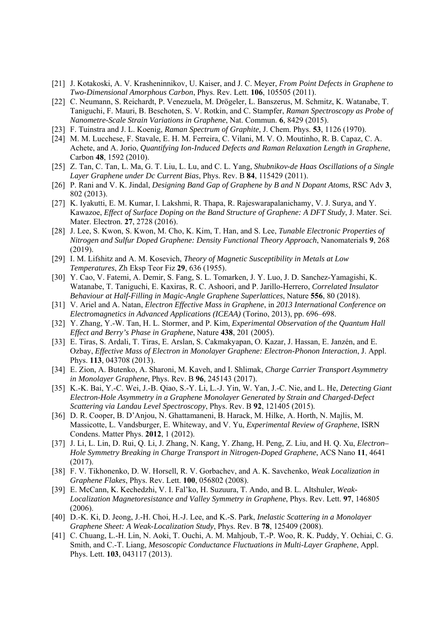- [21] J. Kotakoski, A. V. Krasheninnikov, U. Kaiser, and J. C. Meyer, *From Point Defects in Graphene to Two-Dimensional Amorphous Carbon*, Phys. Rev. Lett. **106**, 105505 (2011).
- [22] C. Neumann, S. Reichardt, P. Venezuela, M. Drögeler, L. Banszerus, M. Schmitz, K. Watanabe, T. Taniguchi, F. Mauri, B. Beschoten, S. V. Rotkin, and C. Stampfer, *Raman Spectroscopy as Probe of Nanometre-Scale Strain Variations in Graphene*, Nat. Commun. **6**, 8429 (2015).
- [23] F. Tuinstra and J. L. Koenig, *Raman Spectrum of Graphite*, J. Chem. Phys. **53**, 1126 (1970).
- [24] M. M. Lucchese, F. Stavale, E. H. M. Ferreira, C. Vilani, M. V. O. Moutinho, R. B. Capaz, C. A. Achete, and A. Jorio, *Quantifying Ion-Induced Defects and Raman Relaxation Length in Graphene*, Carbon **48**, 1592 (2010).
- [25] Z. Tan, C. Tan, L. Ma, G. T. Liu, L. Lu, and C. L. Yang, *Shubnikov-de Haas Oscillations of a Single Layer Graphene under Dc Current Bias*, Phys. Rev. B **84**, 115429 (2011).
- [26] P. Rani and V. K. Jindal, *Designing Band Gap of Graphene by B and N Dopant Atoms*, RSC Adv **3**, 802 (2013).
- [27] K. Iyakutti, E. M. Kumar, I. Lakshmi, R. Thapa, R. Rajeswarapalanichamy, V. J. Surya, and Y. Kawazoe, *Effect of Surface Doping on the Band Structure of Graphene: A DFT Study*, J. Mater. Sci. Mater. Electron. **27**, 2728 (2016).
- [28] J. Lee, S. Kwon, S. Kwon, M. Cho, K. Kim, T. Han, and S. Lee, *Tunable Electronic Properties of Nitrogen and Sulfur Doped Graphene: Density Functional Theory Approach*, Nanomaterials **9**, 268 (2019).
- [29] I. M. Lifshitz and A. M. Kosevich, *Theory of Magnetic Susceptibility in Metals at Low Temperatures*, Zh Eksp Teor Fiz **29**, 636 (1955).
- [30] Y. Cao, V. Fatemi, A. Demir, S. Fang, S. L. Tomarken, J. Y. Luo, J. D. Sanchez-Yamagishi, K. Watanabe, T. Taniguchi, E. Kaxiras, R. C. Ashoori, and P. Jarillo-Herrero, *Correlated Insulator Behaviour at Half-Filling in Magic-Angle Graphene Superlattices*, Nature **556**, 80 (2018).
- [31] V. Ariel and A. Natan, *Electron Effective Mass in Graphene*, in *2013 International Conference on Electromagnetics in Advanced Applications (ICEAA)* (Torino, 2013), pp. 696–698.
- [32] Y. Zhang, Y.-W. Tan, H. L. Stormer, and P. Kim, *Experimental Observation of the Quantum Hall Effect and Berry's Phase in Graphene*, Nature **438**, 201 (2005).
- [33] E. Tiras, S. Ardali, T. Tiras, E. Arslan, S. Cakmakyapan, O. Kazar, J. Hassan, E. Janzén, and E. Ozbay, *Effective Mass of Electron in Monolayer Graphene: Electron-Phonon Interaction*, J. Appl. Phys. **113**, 043708 (2013).
- [34] E. Zion, A. Butenko, A. Sharoni, M. Kaveh, and I. Shlimak, *Charge Carrier Transport Asymmetry in Monolayer Graphene*, Phys. Rev. B **96**, 245143 (2017).
- [35] K.-K. Bai, Y.-C. Wei, J.-B. Qiao, S.-Y. Li, L.-J. Yin, W. Yan, J.-C. Nie, and L. He, *Detecting Giant Electron-Hole Asymmetry in a Graphene Monolayer Generated by Strain and Charged-Defect Scattering via Landau Level Spectroscopy*, Phys. Rev. B **92**, 121405 (2015).
- [36] D. R. Cooper, B. D'Anjou, N. Ghattamaneni, B. Harack, M. Hilke, A. Horth, N. Majlis, M. Massicotte, L. Vandsburger, E. Whiteway, and V. Yu, *Experimental Review of Graphene*, ISRN Condens. Matter Phys. **2012**, 1 (2012).
- [37] J. Li, L. Lin, D. Rui, Q. Li, J. Zhang, N. Kang, Y. Zhang, H. Peng, Z. Liu, and H. Q. Xu, *Electron– Hole Symmetry Breaking in Charge Transport in Nitrogen-Doped Graphene*, ACS Nano **11**, 4641 (2017).
- [38] F. V. Tikhonenko, D. W. Horsell, R. V. Gorbachev, and A. K. Savchenko, *Weak Localization in Graphene Flakes*, Phys. Rev. Lett. **100**, 056802 (2008).
- [39] E. McCann, K. Kechedzhi, V. I. Fal'ko, H. Suzuura, T. Ando, and B. L. Altshuler, *Weak-Localization Magnetoresistance and Valley Symmetry in Graphene*, Phys. Rev. Lett. **97**, 146805 (2006).
- [40] D.-K. Ki, D. Jeong, J.-H. Choi, H.-J. Lee, and K.-S. Park, *Inelastic Scattering in a Monolayer Graphene Sheet: A Weak-Localization Study*, Phys. Rev. B **78**, 125409 (2008).
- [41] C. Chuang, L.-H. Lin, N. Aoki, T. Ouchi, A. M. Mahjoub, T.-P. Woo, R. K. Puddy, Y. Ochiai, C. G. Smith, and C.-T. Liang, *Mesoscopic Conductance Fluctuations in Multi-Layer Graphene*, Appl. Phys. Lett. **103**, 043117 (2013).